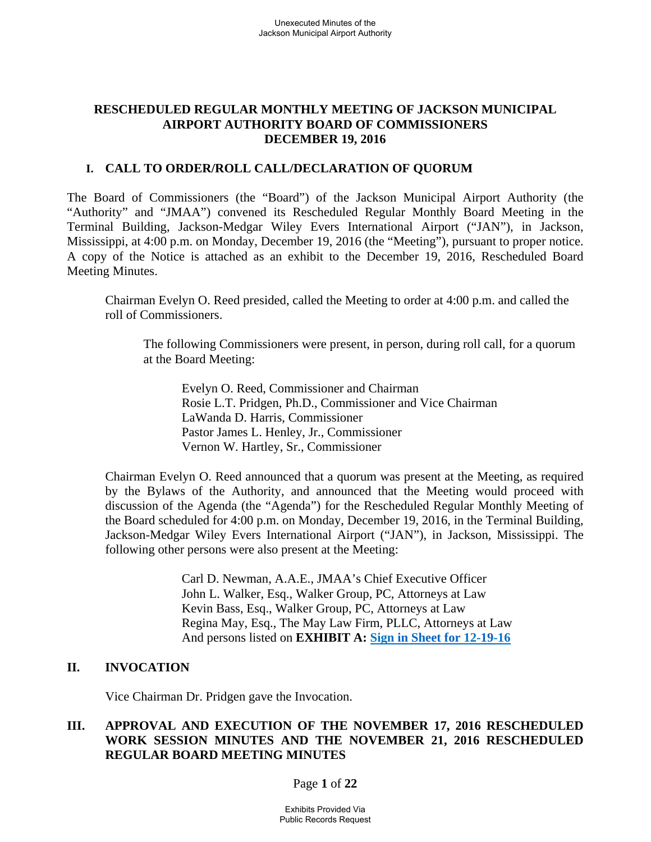## **RESCHEDULED REGULAR MONTHLY MEETING OF JACKSON MUNICIPAL AIRPORT AUTHORITY BOARD OF COMMISSIONERS DECEMBER 19, 2016**

## **I. CALL TO ORDER/ROLL CALL/DECLARATION OF QUORUM**

The Board of Commissioners (the "Board") of the Jackson Municipal Airport Authority (the "Authority" and "JMAA") convened its Rescheduled Regular Monthly Board Meeting in the Terminal Building, Jackson-Medgar Wiley Evers International Airport ("JAN"), in Jackson, Mississippi, at 4:00 p.m. on Monday, December 19, 2016 (the "Meeting"), pursuant to proper notice. A copy of the Notice is attached as an exhibit to the December 19, 2016, Rescheduled Board Meeting Minutes.

Chairman Evelyn O. Reed presided, called the Meeting to order at 4:00 p.m. and called the roll of Commissioners.

The following Commissioners were present, in person, during roll call, for a quorum at the Board Meeting:

Evelyn O. Reed, Commissioner and Chairman Rosie L.T. Pridgen, Ph.D., Commissioner and Vice Chairman LaWanda D. Harris, Commissioner Pastor James L. Henley, Jr., Commissioner Vernon W. Hartley, Sr., Commissioner

Chairman Evelyn O. Reed announced that a quorum was present at the Meeting, as required by the Bylaws of the Authority, and announced that the Meeting would proceed with discussion of the Agenda (the "Agenda") for the Rescheduled Regular Monthly Meeting of the Board scheduled for 4:00 p.m. on Monday, December 19, 2016, in the Terminal Building, Jackson-Medgar Wiley Evers International Airport ("JAN"), in Jackson, Mississippi. The following other persons were also present at the Meeting:

> Carl D. Newman, A.A.E., JMAA's Chief Executive Officer John L. Walker, Esq., Walker Group, PC, Attorneys at Law Kevin Bass, Esq., Walker Group, PC, Attorneys at Law Regina May, Esq., The May Law Firm, PLLC, Attorneys at Law And persons listed on **EXHIBIT A: Sign in Sheet for 12-19-16**

# **II. INVOCATION**

Vice Chairman Dr. Pridgen gave the Invocation.

# **III. APPROVAL AND EXECUTION OF THE NOVEMBER 17, 2016 RESCHEDULED WORK SESSION MINUTES AND THE NOVEMBER 21, 2016 RESCHEDULED REGULAR BOARD MEETING MINUTES**

Page **1** of **22**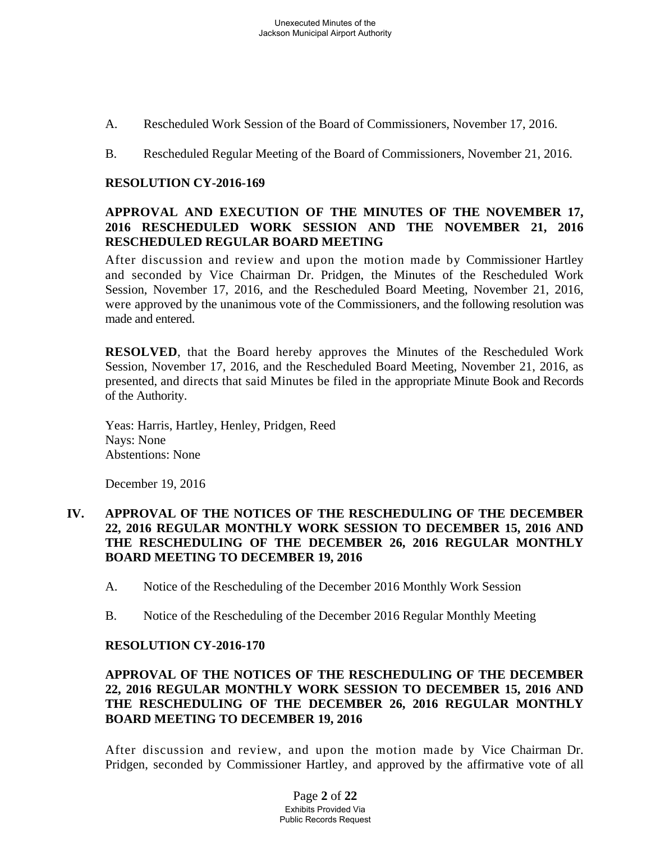- A. Rescheduled Work Session of the Board of Commissioners, November 17, 2016.
- B. Rescheduled Regular Meeting of the Board of Commissioners, November 21, 2016.

## **RESOLUTION CY-2016-169**

## **APPROVAL AND EXECUTION OF THE MINUTES OF THE NOVEMBER 17, 2016 RESCHEDULED WORK SESSION AND THE NOVEMBER 21, 2016 RESCHEDULED REGULAR BOARD MEETING**

After discussion and review and upon the motion made by Commissioner Hartley and seconded by Vice Chairman Dr. Pridgen, the Minutes of the Rescheduled Work Session, November 17, 2016, and the Rescheduled Board Meeting, November 21, 2016, were approved by the unanimous vote of the Commissioners, and the following resolution was made and entered.

**RESOLVED**, that the Board hereby approves the Minutes of the Rescheduled Work Session, November 17, 2016, and the Rescheduled Board Meeting, November 21, 2016, as presented, and directs that said Minutes be filed in the appropriate Minute Book and Records of the Authority.

Yeas: Harris, Hartley, Henley, Pridgen, Reed Nays: None Abstentions: None

December 19, 2016

### **IV. APPROVAL OF THE NOTICES OF THE RESCHEDULING OF THE DECEMBER 22, 2016 REGULAR MONTHLY WORK SESSION TO DECEMBER 15, 2016 AND THE RESCHEDULING OF THE DECEMBER 26, 2016 REGULAR MONTHLY BOARD MEETING TO DECEMBER 19, 2016**

- A. Notice of the Rescheduling of the December 2016 Monthly Work Session
- B. Notice of the Rescheduling of the December 2016 Regular Monthly Meeting

### **RESOLUTION CY-2016-170**

## **APPROVAL OF THE NOTICES OF THE RESCHEDULING OF THE DECEMBER 22, 2016 REGULAR MONTHLY WORK SESSION TO DECEMBER 15, 2016 AND THE RESCHEDULING OF THE DECEMBER 26, 2016 REGULAR MONTHLY BOARD MEETING TO DECEMBER 19, 2016**

After discussion and review, and upon the motion made by Vice Chairman Dr. Pridgen, seconded by Commissioner Hartley, and approved by the affirmative vote of all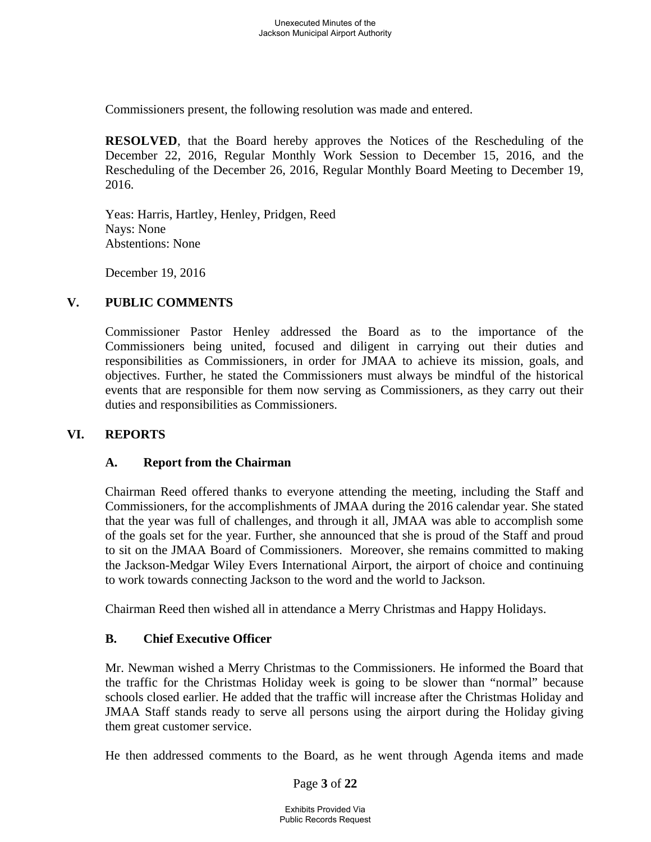Commissioners present, the following resolution was made and entered.

**RESOLVED**, that the Board hereby approves the Notices of the Rescheduling of the December 22, 2016, Regular Monthly Work Session to December 15, 2016, and the Rescheduling of the December 26, 2016, Regular Monthly Board Meeting to December 19, 2016.

Yeas: Harris, Hartley, Henley, Pridgen, Reed Nays: None Abstentions: None

December 19, 2016

# **V. PUBLIC COMMENTS**

Commissioner Pastor Henley addressed the Board as to the importance of the Commissioners being united, focused and diligent in carrying out their duties and responsibilities as Commissioners, in order for JMAA to achieve its mission, goals, and objectives. Further, he stated the Commissioners must always be mindful of the historical events that are responsible for them now serving as Commissioners, as they carry out their duties and responsibilities as Commissioners.

# **VI. REPORTS**

# **A. Report from the Chairman**

Chairman Reed offered thanks to everyone attending the meeting, including the Staff and Commissioners, for the accomplishments of JMAA during the 2016 calendar year. She stated that the year was full of challenges, and through it all, JMAA was able to accomplish some of the goals set for the year. Further, she announced that she is proud of the Staff and proud to sit on the JMAA Board of Commissioners. Moreover, she remains committed to making the Jackson-Medgar Wiley Evers International Airport, the airport of choice and continuing to work towards connecting Jackson to the word and the world to Jackson.

Chairman Reed then wished all in attendance a Merry Christmas and Happy Holidays.

# **B. Chief Executive Officer**

Mr. Newman wished a Merry Christmas to the Commissioners. He informed the Board that the traffic for the Christmas Holiday week is going to be slower than "normal" because schools closed earlier. He added that the traffic will increase after the Christmas Holiday and JMAA Staff stands ready to serve all persons using the airport during the Holiday giving them great customer service.

He then addressed comments to the Board, as he went through Agenda items and made

Page **3** of **22**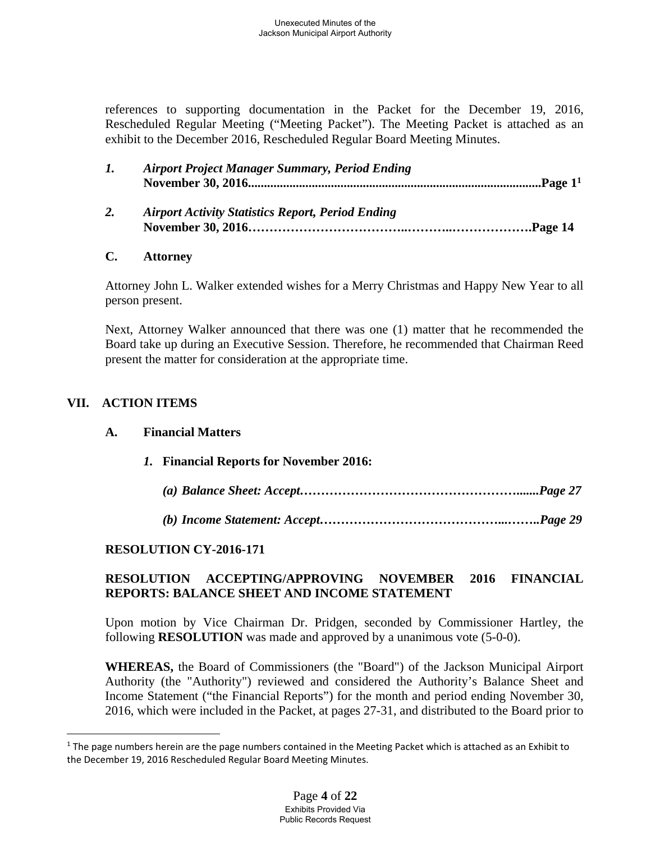references to supporting documentation in the Packet for the December 19, 2016, Rescheduled Regular Meeting ("Meeting Packet"). The Meeting Packet is attached as an exhibit to the December 2016, Rescheduled Regular Board Meeting Minutes.

|    | <b>Airport Project Manager Summary, Period Ending</b>    |  |
|----|----------------------------------------------------------|--|
| 2. | <b>Airport Activity Statistics Report, Period Ending</b> |  |

## **C. Attorney**

Attorney John L. Walker extended wishes for a Merry Christmas and Happy New Year to all person present.

Next, Attorney Walker announced that there was one (1) matter that he recommended the Board take up during an Executive Session. Therefore, he recommended that Chairman Reed present the matter for consideration at the appropriate time.

# **VII. ACTION ITEMS**

 $\overline{a}$ 

### **A. Financial Matters**

*1.* **Financial Reports for November 2016:**

|--|--|--|--|

*(b) Income Statement: Accept……………………………………...……..Page 29* 

# **RESOLUTION CY-2016-171**

# **RESOLUTION ACCEPTING/APPROVING NOVEMBER 2016 FINANCIAL REPORTS: BALANCE SHEET AND INCOME STATEMENT**

Upon motion by Vice Chairman Dr. Pridgen, seconded by Commissioner Hartley, the following **RESOLUTION** was made and approved by a unanimous vote (5-0-0).

**WHEREAS,** the Board of Commissioners (the "Board") of the Jackson Municipal Airport Authority (the "Authority") reviewed and considered the Authority's Balance Sheet and Income Statement ("the Financial Reports") for the month and period ending November 30, 2016, which were included in the Packet, at pages 27-31, and distributed to the Board prior to

<sup>&</sup>lt;sup>1</sup> The page numbers herein are the page numbers contained in the Meeting Packet which is attached as an Exhibit to the December 19, 2016 Rescheduled Regular Board Meeting Minutes.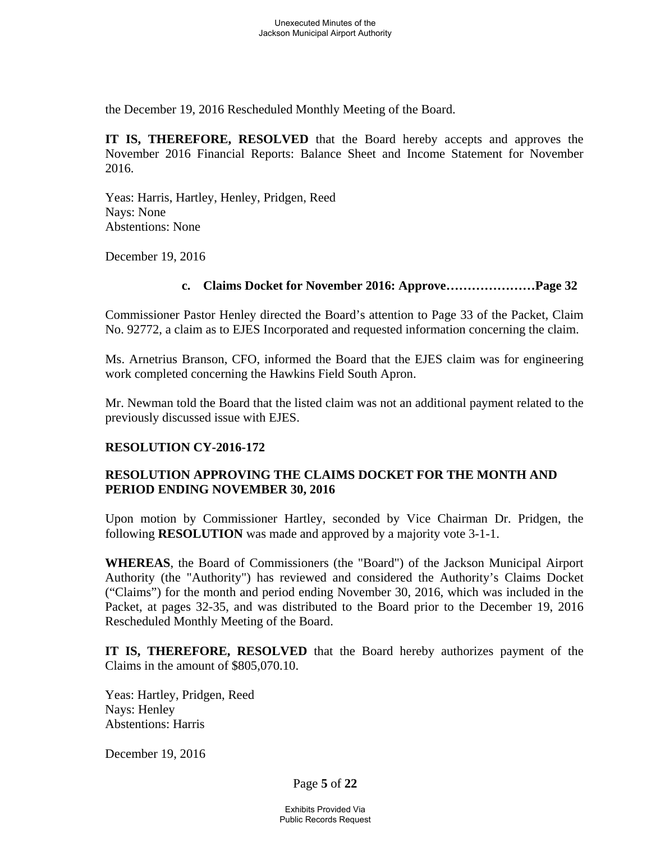the December 19, 2016 Rescheduled Monthly Meeting of the Board.

**IT IS, THEREFORE, RESOLVED** that the Board hereby accepts and approves the November 2016 Financial Reports: Balance Sheet and Income Statement for November 2016.

Yeas: Harris, Hartley, Henley, Pridgen, Reed Nays: None Abstentions: None

December 19, 2016

### **c. Claims Docket for November 2016: Approve…………………Page 32**

Commissioner Pastor Henley directed the Board's attention to Page 33 of the Packet, Claim No. 92772, a claim as to EJES Incorporated and requested information concerning the claim.

Ms. Arnetrius Branson, CFO, informed the Board that the EJES claim was for engineering work completed concerning the Hawkins Field South Apron.

Mr. Newman told the Board that the listed claim was not an additional payment related to the previously discussed issue with EJES.

# **RESOLUTION CY-2016-172**

## **RESOLUTION APPROVING THE CLAIMS DOCKET FOR THE MONTH AND PERIOD ENDING NOVEMBER 30, 2016**

Upon motion by Commissioner Hartley, seconded by Vice Chairman Dr. Pridgen, the following **RESOLUTION** was made and approved by a majority vote 3-1-1.

**WHEREAS**, the Board of Commissioners (the "Board") of the Jackson Municipal Airport Authority (the "Authority") has reviewed and considered the Authority's Claims Docket ("Claims") for the month and period ending November 30, 2016, which was included in the Packet, at pages 32-35, and was distributed to the Board prior to the December 19, 2016 Rescheduled Monthly Meeting of the Board.

**IT IS, THEREFORE, RESOLVED** that the Board hereby authorizes payment of the Claims in the amount of \$805,070.10.

Yeas: Hartley, Pridgen, Reed Nays: Henley Abstentions: Harris

December 19, 2016

Page **5** of **22**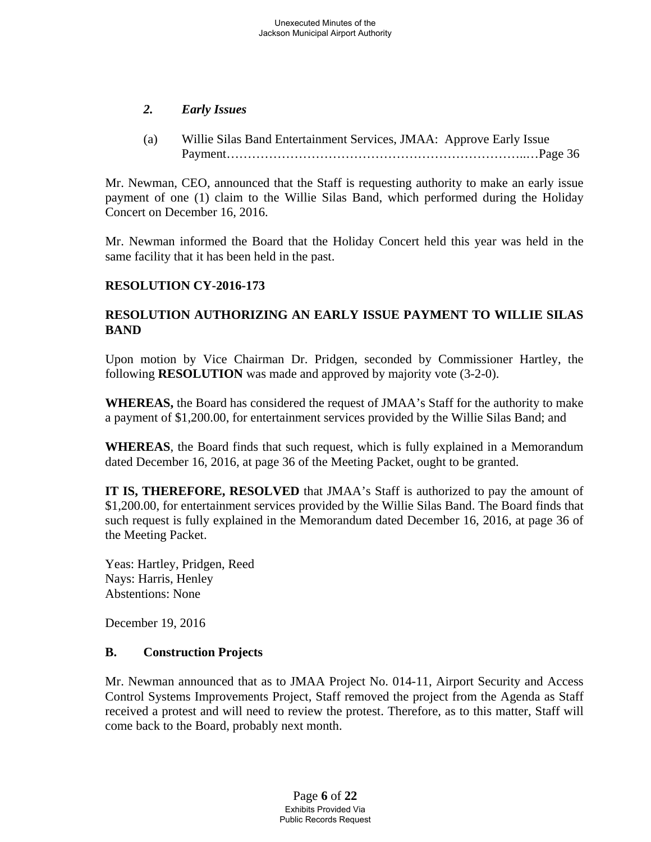# *2. Early Issues*

(a) Willie Silas Band Entertainment Services, JMAA: Approve Early Issue Payment……………………………………………………………..…Page 36

Mr. Newman, CEO, announced that the Staff is requesting authority to make an early issue payment of one (1) claim to the Willie Silas Band, which performed during the Holiday Concert on December 16, 2016.

Mr. Newman informed the Board that the Holiday Concert held this year was held in the same facility that it has been held in the past.

# **RESOLUTION CY-2016-173**

# **RESOLUTION AUTHORIZING AN EARLY ISSUE PAYMENT TO WILLIE SILAS BAND**

Upon motion by Vice Chairman Dr. Pridgen, seconded by Commissioner Hartley, the following **RESOLUTION** was made and approved by majority vote (3-2-0).

**WHEREAS,** the Board has considered the request of JMAA's Staff for the authority to make a payment of \$1,200.00, for entertainment services provided by the Willie Silas Band; and

**WHEREAS**, the Board finds that such request, which is fully explained in a Memorandum dated December 16, 2016, at page 36 of the Meeting Packet, ought to be granted.

**IT IS, THEREFORE, RESOLVED** that JMAA's Staff is authorized to pay the amount of \$1,200.00, for entertainment services provided by the Willie Silas Band. The Board finds that such request is fully explained in the Memorandum dated December 16, 2016, at page 36 of the Meeting Packet.

Yeas: Hartley, Pridgen, Reed Nays: Harris, Henley Abstentions: None

December 19, 2016

# **B. Construction Projects**

Mr. Newman announced that as to JMAA Project No. 014-11, Airport Security and Access Control Systems Improvements Project, Staff removed the project from the Agenda as Staff received a protest and will need to review the protest. Therefore, as to this matter, Staff will come back to the Board, probably next month.

> Page **6** of **22** Exhibits Provided Via Public Records Request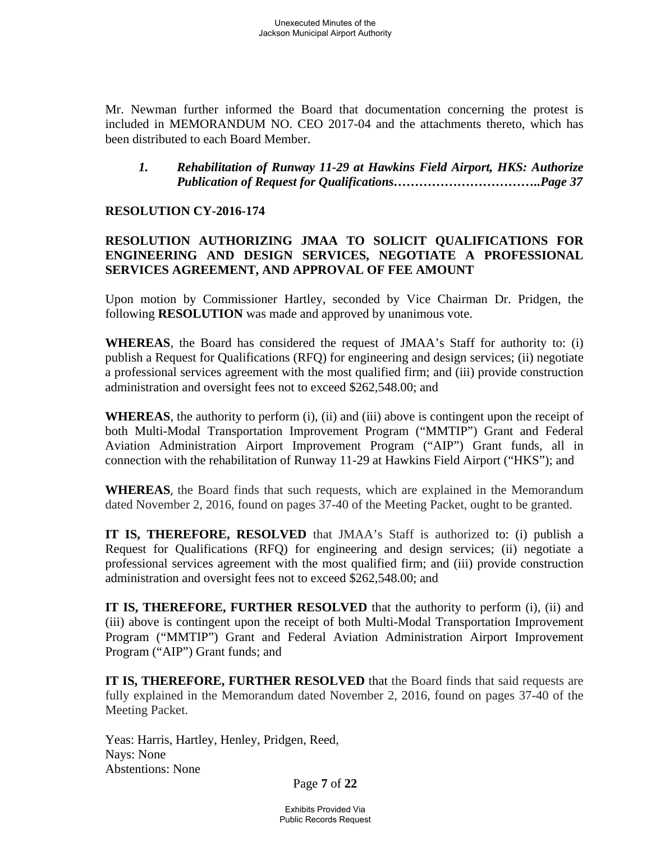Mr. Newman further informed the Board that documentation concerning the protest is included in MEMORANDUM NO. CEO 2017-04 and the attachments thereto, which has been distributed to each Board Member.

*1. Rehabilitation of Runway 11-29 at Hawkins Field Airport, HKS: Authorize Publication of Request for Qualifications……………………………..Page 37* 

# **RESOLUTION CY-2016-174**

# **RESOLUTION AUTHORIZING JMAA TO SOLICIT QUALIFICATIONS FOR ENGINEERING AND DESIGN SERVICES, NEGOTIATE A PROFESSIONAL SERVICES AGREEMENT, AND APPROVAL OF FEE AMOUNT**

Upon motion by Commissioner Hartley, seconded by Vice Chairman Dr. Pridgen, the following **RESOLUTION** was made and approved by unanimous vote.

**WHEREAS**, the Board has considered the request of JMAA's Staff for authority to: (i) publish a Request for Qualifications (RFQ) for engineering and design services; (ii) negotiate a professional services agreement with the most qualified firm; and (iii) provide construction administration and oversight fees not to exceed \$262,548.00; and

**WHEREAS**, the authority to perform (i), (ii) and (iii) above is contingent upon the receipt of both Multi-Modal Transportation Improvement Program ("MMTIP") Grant and Federal Aviation Administration Airport Improvement Program ("AIP") Grant funds, all in connection with the rehabilitation of Runway 11-29 at Hawkins Field Airport ("HKS"); and

**WHEREAS**, the Board finds that such requests, which are explained in the Memorandum dated November 2, 2016, found on pages 37-40 of the Meeting Packet, ought to be granted.

**IT IS, THEREFORE, RESOLVED** that JMAA's Staff is authorized to: (i) publish a Request for Qualifications (RFQ) for engineering and design services; (ii) negotiate a professional services agreement with the most qualified firm; and (iii) provide construction administration and oversight fees not to exceed \$262,548.00; and

**IT IS, THEREFORE, FURTHER RESOLVED** that the authority to perform (i), (ii) and (iii) above is contingent upon the receipt of both Multi-Modal Transportation Improvement Program ("MMTIP") Grant and Federal Aviation Administration Airport Improvement Program ("AIP") Grant funds; and

**IT IS, THEREFORE, FURTHER RESOLVED** that the Board finds that said requests are fully explained in the Memorandum dated November 2, 2016, found on pages 37-40 of the Meeting Packet.

Yeas: Harris, Hartley, Henley, Pridgen, Reed, Nays: None Abstentions: None

Page **7** of **22**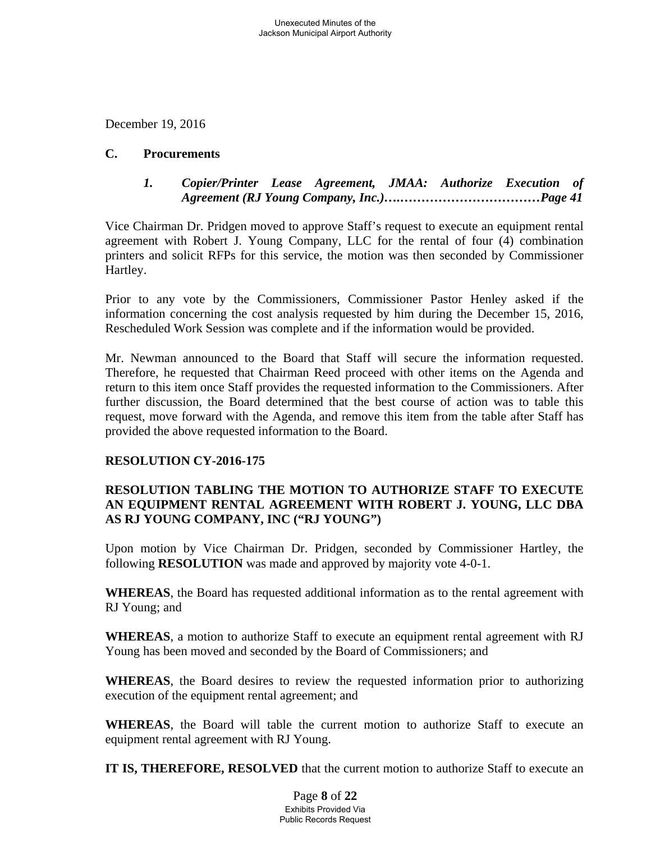December 19, 2016

## **C. Procurements**

# *1. Copier/Printer Lease Agreement, JMAA: Authorize Execution of Agreement (RJ Young Company, Inc.)….……………………………Page 41*

Vice Chairman Dr. Pridgen moved to approve Staff's request to execute an equipment rental agreement with Robert J. Young Company, LLC for the rental of four (4) combination printers and solicit RFPs for this service, the motion was then seconded by Commissioner Hartley.

Prior to any vote by the Commissioners, Commissioner Pastor Henley asked if the information concerning the cost analysis requested by him during the December 15, 2016, Rescheduled Work Session was complete and if the information would be provided.

Mr. Newman announced to the Board that Staff will secure the information requested. Therefore, he requested that Chairman Reed proceed with other items on the Agenda and return to this item once Staff provides the requested information to the Commissioners. After further discussion, the Board determined that the best course of action was to table this request, move forward with the Agenda, and remove this item from the table after Staff has provided the above requested information to the Board.

# **RESOLUTION CY-2016-175**

# **RESOLUTION TABLING THE MOTION TO AUTHORIZE STAFF TO EXECUTE AN EQUIPMENT RENTAL AGREEMENT WITH ROBERT J. YOUNG, LLC DBA AS RJ YOUNG COMPANY, INC ("RJ YOUNG")**

Upon motion by Vice Chairman Dr. Pridgen, seconded by Commissioner Hartley, the following **RESOLUTION** was made and approved by majority vote 4-0-1.

**WHEREAS**, the Board has requested additional information as to the rental agreement with RJ Young; and

**WHEREAS**, a motion to authorize Staff to execute an equipment rental agreement with RJ Young has been moved and seconded by the Board of Commissioners; and

**WHEREAS**, the Board desires to review the requested information prior to authorizing execution of the equipment rental agreement; and

**WHEREAS**, the Board will table the current motion to authorize Staff to execute an equipment rental agreement with RJ Young.

**IT IS, THEREFORE, RESOLVED** that the current motion to authorize Staff to execute an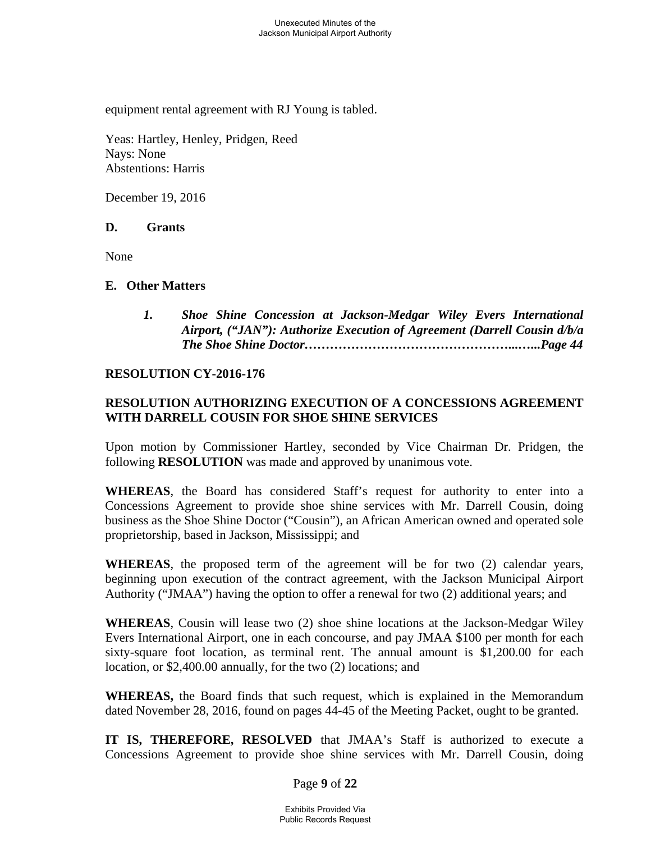equipment rental agreement with RJ Young is tabled.

Yeas: Hartley, Henley, Pridgen, Reed Nays: None Abstentions: Harris

December 19, 2016

### **D. Grants**

None

### **E. Other Matters**

*1. Shoe Shine Concession at Jackson-Medgar Wiley Evers International Airport, ("JAN"): Authorize Execution of Agreement (Darrell Cousin d/b/a The Shoe Shine Doctor…………………………………………...…...Page 44* 

### **RESOLUTION CY-2016-176**

# **RESOLUTION AUTHORIZING EXECUTION OF A CONCESSIONS AGREEMENT WITH DARRELL COUSIN FOR SHOE SHINE SERVICES**

Upon motion by Commissioner Hartley, seconded by Vice Chairman Dr. Pridgen, the following **RESOLUTION** was made and approved by unanimous vote.

**WHEREAS**, the Board has considered Staff's request for authority to enter into a Concessions Agreement to provide shoe shine services with Mr. Darrell Cousin, doing business as the Shoe Shine Doctor ("Cousin"), an African American owned and operated sole proprietorship, based in Jackson, Mississippi; and

**WHEREAS**, the proposed term of the agreement will be for two (2) calendar years, beginning upon execution of the contract agreement, with the Jackson Municipal Airport Authority ("JMAA") having the option to offer a renewal for two (2) additional years; and

**WHEREAS**, Cousin will lease two (2) shoe shine locations at the Jackson-Medgar Wiley Evers International Airport, one in each concourse, and pay JMAA \$100 per month for each sixty-square foot location, as terminal rent. The annual amount is \$1,200.00 for each location, or \$2,400.00 annually, for the two (2) locations; and

**WHEREAS,** the Board finds that such request, which is explained in the Memorandum dated November 28, 2016, found on pages 44-45 of the Meeting Packet, ought to be granted.

**IT IS, THEREFORE, RESOLVED** that JMAA's Staff is authorized to execute a Concessions Agreement to provide shoe shine services with Mr. Darrell Cousin, doing

Page **9** of **22**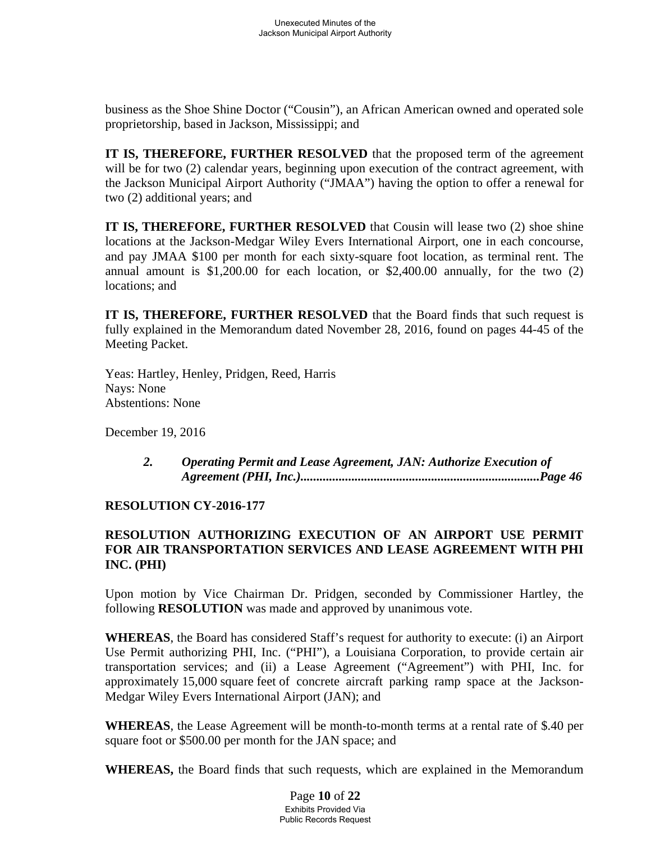business as the Shoe Shine Doctor ("Cousin"), an African American owned and operated sole proprietorship, based in Jackson, Mississippi; and

**IT IS, THEREFORE, FURTHER RESOLVED** that the proposed term of the agreement will be for two (2) calendar years, beginning upon execution of the contract agreement, with the Jackson Municipal Airport Authority ("JMAA") having the option to offer a renewal for two (2) additional years; and

**IT IS, THEREFORE, FURTHER RESOLVED** that Cousin will lease two (2) shoe shine locations at the Jackson-Medgar Wiley Evers International Airport, one in each concourse, and pay JMAA \$100 per month for each sixty-square foot location, as terminal rent. The annual amount is \$1,200.00 for each location, or \$2,400.00 annually, for the two (2) locations; and

**IT IS, THEREFORE, FURTHER RESOLVED** that the Board finds that such request is fully explained in the Memorandum dated November 28, 2016, found on pages 44-45 of the Meeting Packet.

Yeas: Hartley, Henley, Pridgen, Reed, Harris Nays: None Abstentions: None

December 19, 2016

 *2. Operating Permit and Lease Agreement, JAN: Authorize Execution of Agreement (PHI, Inc.)...........................................................................Page 46* 

# **RESOLUTION CY-2016-177**

# **RESOLUTION AUTHORIZING EXECUTION OF AN AIRPORT USE PERMIT FOR AIR TRANSPORTATION SERVICES AND LEASE AGREEMENT WITH PHI INC. (PHI)**

Upon motion by Vice Chairman Dr. Pridgen, seconded by Commissioner Hartley, the following **RESOLUTION** was made and approved by unanimous vote.

**WHEREAS**, the Board has considered Staff's request for authority to execute: (i) an Airport Use Permit authorizing PHI, Inc. ("PHI"), a Louisiana Corporation, to provide certain air transportation services; and (ii) a Lease Agreement ("Agreement") with PHI, Inc. for approximately 15,000 square feet of concrete aircraft parking ramp space at the Jackson-Medgar Wiley Evers International Airport (JAN); and

**WHEREAS**, the Lease Agreement will be month-to-month terms at a rental rate of \$.40 per square foot or \$500.00 per month for the JAN space; and

**WHEREAS,** the Board finds that such requests, which are explained in the Memorandum

Page **10** of **22** Exhibits Provided Via Public Records Request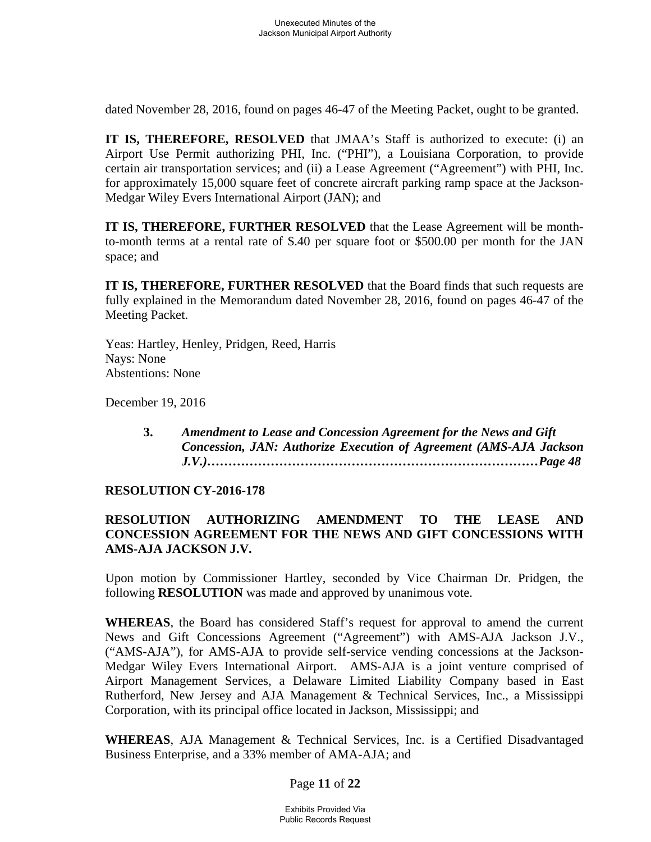dated November 28, 2016, found on pages 46-47 of the Meeting Packet, ought to be granted.

**IT IS, THEREFORE, RESOLVED** that JMAA's Staff is authorized to execute: (i) an Airport Use Permit authorizing PHI, Inc. ("PHI"), a Louisiana Corporation, to provide certain air transportation services; and (ii) a Lease Agreement ("Agreement") with PHI, Inc. for approximately 15,000 square feet of concrete aircraft parking ramp space at the Jackson-Medgar Wiley Evers International Airport (JAN); and

**IT IS, THEREFORE, FURTHER RESOLVED** that the Lease Agreement will be monthto-month terms at a rental rate of \$.40 per square foot or \$500.00 per month for the JAN space; and

**IT IS, THEREFORE, FURTHER RESOLVED** that the Board finds that such requests are fully explained in the Memorandum dated November 28, 2016, found on pages 46-47 of the Meeting Packet.

Yeas: Hartley, Henley, Pridgen, Reed, Harris Nays: None Abstentions: None

December 19, 2016

 **3.** *Amendment to Lease and Concession Agreement for the News and Gift Concession, JAN: Authorize Execution of Agreement (AMS-AJA Jackson J.V.)……………………………………………………………………Page 48* 

# **RESOLUTION CY-2016-178**

# **RESOLUTION AUTHORIZING AMENDMENT TO THE LEASE AND CONCESSION AGREEMENT FOR THE NEWS AND GIFT CONCESSIONS WITH AMS-AJA JACKSON J.V.**

Upon motion by Commissioner Hartley, seconded by Vice Chairman Dr. Pridgen, the following **RESOLUTION** was made and approved by unanimous vote.

**WHEREAS**, the Board has considered Staff's request for approval to amend the current News and Gift Concessions Agreement ("Agreement") with AMS-AJA Jackson J.V., ("AMS-AJA"), for AMS-AJA to provide self-service vending concessions at the Jackson-Medgar Wiley Evers International Airport. AMS-AJA is a joint venture comprised of Airport Management Services, a Delaware Limited Liability Company based in East Rutherford, New Jersey and AJA Management & Technical Services, Inc., a Mississippi Corporation, with its principal office located in Jackson, Mississippi; and

**WHEREAS**, AJA Management & Technical Services, Inc. is a Certified Disadvantaged Business Enterprise, and a 33% member of AMA-AJA; and

### Page **11** of **22**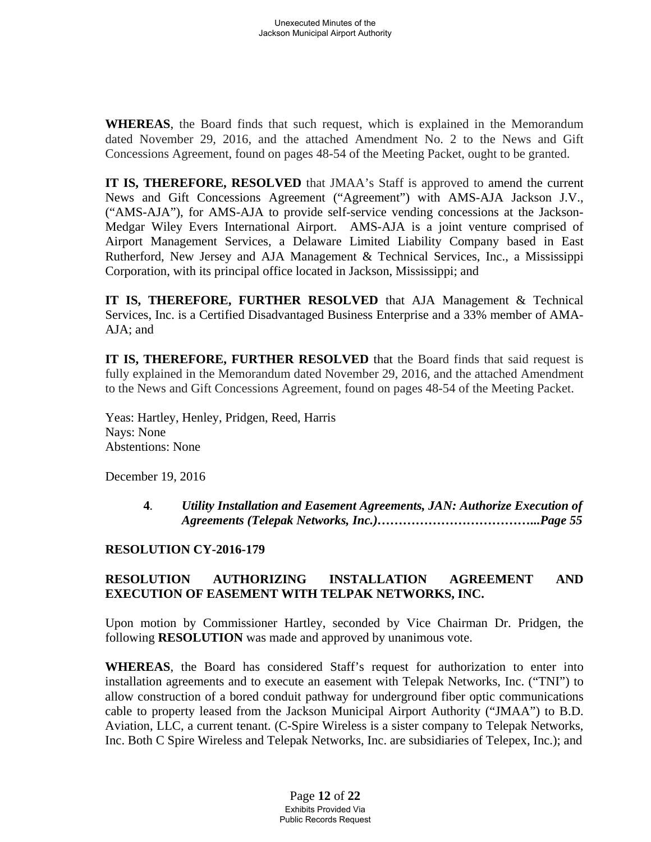**WHEREAS**, the Board finds that such request, which is explained in the Memorandum dated November 29, 2016, and the attached Amendment No. 2 to the News and Gift Concessions Agreement, found on pages 48-54 of the Meeting Packet, ought to be granted.

**IT IS, THEREFORE, RESOLVED** that JMAA's Staff is approved to amend the current News and Gift Concessions Agreement ("Agreement") with AMS-AJA Jackson J.V., ("AMS-AJA"), for AMS-AJA to provide self-service vending concessions at the Jackson-Medgar Wiley Evers International Airport. AMS-AJA is a joint venture comprised of Airport Management Services, a Delaware Limited Liability Company based in East Rutherford, New Jersey and AJA Management & Technical Services, Inc., a Mississippi Corporation, with its principal office located in Jackson, Mississippi; and

**IT IS, THEREFORE, FURTHER RESOLVED** that AJA Management & Technical Services, Inc. is a Certified Disadvantaged Business Enterprise and a 33% member of AMA-AJA; and

**IT IS, THEREFORE, FURTHER RESOLVED** that the Board finds that said request is fully explained in the Memorandum dated November 29, 2016, and the attached Amendment to the News and Gift Concessions Agreement, found on pages 48-54 of the Meeting Packet.

Yeas: Hartley, Henley, Pridgen, Reed, Harris Nays: None Abstentions: None

December 19, 2016

**4***. Utility Installation and Easement Agreements, JAN: Authorize Execution of Agreements (Telepak Networks, Inc.)………………………………...Page 55* 

### **RESOLUTION CY-2016-179**

# **RESOLUTION AUTHORIZING INSTALLATION AGREEMENT AND EXECUTION OF EASEMENT WITH TELPAK NETWORKS, INC.**

Upon motion by Commissioner Hartley, seconded by Vice Chairman Dr. Pridgen, the following **RESOLUTION** was made and approved by unanimous vote.

**WHEREAS**, the Board has considered Staff's request for authorization to enter into installation agreements and to execute an easement with Telepak Networks, Inc. ("TNI") to allow construction of a bored conduit pathway for underground fiber optic communications cable to property leased from the Jackson Municipal Airport Authority ("JMAA") to B.D. Aviation, LLC, a current tenant. (C-Spire Wireless is a sister company to Telepak Networks, Inc. Both C Spire Wireless and Telepak Networks, Inc. are subsidiaries of Telepex, Inc.); and

> Page **12** of **22** Exhibits Provided Via Public Records Request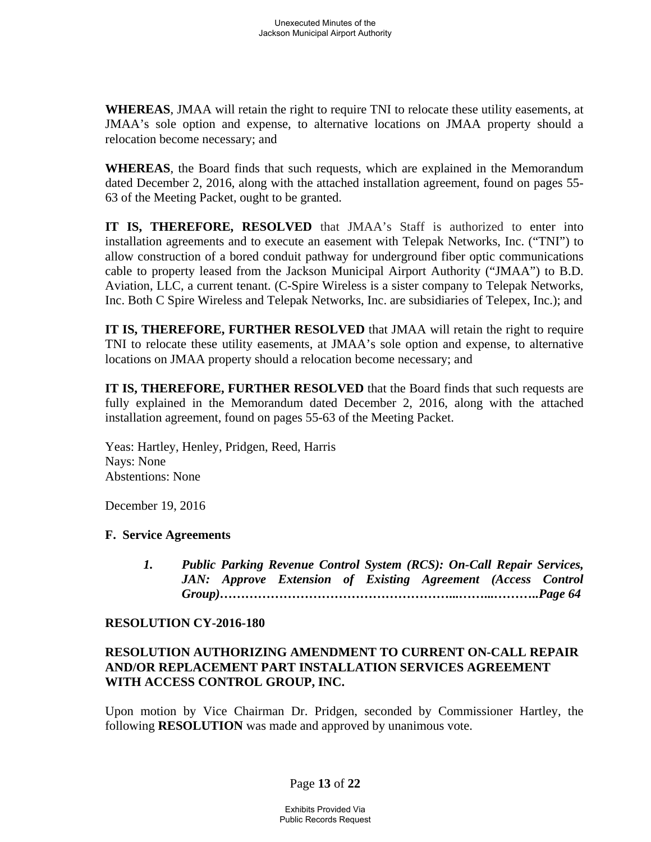**WHEREAS**, JMAA will retain the right to require TNI to relocate these utility easements, at JMAA's sole option and expense, to alternative locations on JMAA property should a relocation become necessary; and

**WHEREAS**, the Board finds that such requests, which are explained in the Memorandum dated December 2, 2016, along with the attached installation agreement, found on pages 55- 63 of the Meeting Packet, ought to be granted.

**IT IS, THEREFORE, RESOLVED** that JMAA's Staff is authorized to enter into installation agreements and to execute an easement with Telepak Networks, Inc. ("TNI") to allow construction of a bored conduit pathway for underground fiber optic communications cable to property leased from the Jackson Municipal Airport Authority ("JMAA") to B.D. Aviation, LLC, a current tenant. (C-Spire Wireless is a sister company to Telepak Networks, Inc. Both C Spire Wireless and Telepak Networks, Inc. are subsidiaries of Telepex, Inc.); and

**IT IS, THEREFORE, FURTHER RESOLVED** that JMAA will retain the right to require TNI to relocate these utility easements, at JMAA's sole option and expense, to alternative locations on JMAA property should a relocation become necessary; and

**IT IS, THEREFORE, FURTHER RESOLVED** that the Board finds that such requests are fully explained in the Memorandum dated December 2, 2016, along with the attached installation agreement, found on pages 55-63 of the Meeting Packet.

Yeas: Hartley, Henley, Pridgen, Reed, Harris Nays: None Abstentions: None

December 19, 2016

### **F. Service Agreements**

*1. Public Parking Revenue Control System (RCS): On-Call Repair Services, JAN: Approve Extension of Existing Agreement (Access Control Group)………………………………………………...……...………..Page 64* 

### **RESOLUTION CY-2016-180**

## **RESOLUTION AUTHORIZING AMENDMENT TO CURRENT ON-CALL REPAIR AND/OR REPLACEMENT PART INSTALLATION SERVICES AGREEMENT WITH ACCESS CONTROL GROUP, INC.**

Upon motion by Vice Chairman Dr. Pridgen, seconded by Commissioner Hartley, the following **RESOLUTION** was made and approved by unanimous vote.

# Page **13** of **22**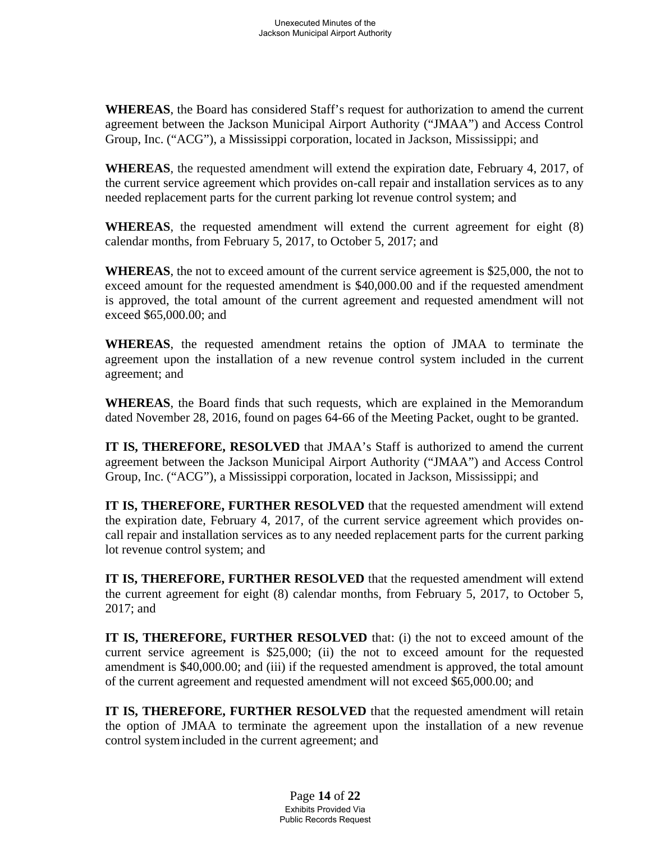**WHEREAS**, the Board has considered Staff's request for authorization to amend the current agreement between the Jackson Municipal Airport Authority ("JMAA") and Access Control Group, Inc. ("ACG"), a Mississippi corporation, located in Jackson, Mississippi; and

**WHEREAS**, the requested amendment will extend the expiration date, February 4, 2017, of the current service agreement which provides on-call repair and installation services as to any needed replacement parts for the current parking lot revenue control system; and

**WHEREAS**, the requested amendment will extend the current agreement for eight (8) calendar months, from February 5, 2017, to October 5, 2017; and

**WHEREAS**, the not to exceed amount of the current service agreement is \$25,000, the not to exceed amount for the requested amendment is \$40,000.00 and if the requested amendment is approved, the total amount of the current agreement and requested amendment will not exceed \$65,000.00; and

**WHEREAS**, the requested amendment retains the option of JMAA to terminate the agreement upon the installation of a new revenue control system included in the current agreement; and

**WHEREAS**, the Board finds that such requests, which are explained in the Memorandum dated November 28, 2016, found on pages 64-66 of the Meeting Packet, ought to be granted.

**IT IS, THEREFORE, RESOLVED** that JMAA's Staff is authorized to amend the current agreement between the Jackson Municipal Airport Authority ("JMAA") and Access Control Group, Inc. ("ACG"), a Mississippi corporation, located in Jackson, Mississippi; and

**IT IS, THEREFORE, FURTHER RESOLVED** that the requested amendment will extend the expiration date, February 4, 2017, of the current service agreement which provides oncall repair and installation services as to any needed replacement parts for the current parking lot revenue control system; and

**IT IS, THEREFORE, FURTHER RESOLVED** that the requested amendment will extend the current agreement for eight (8) calendar months, from February 5, 2017, to October 5, 2017; and

**IT IS, THEREFORE, FURTHER RESOLVED** that: (i) the not to exceed amount of the current service agreement is \$25,000; (ii) the not to exceed amount for the requested amendment is \$40,000.00; and (iii) if the requested amendment is approved, the total amount of the current agreement and requested amendment will not exceed \$65,000.00; and

**IT IS, THEREFORE, FURTHER RESOLVED** that the requested amendment will retain the option of JMAA to terminate the agreement upon the installation of a new revenue control system included in the current agreement; and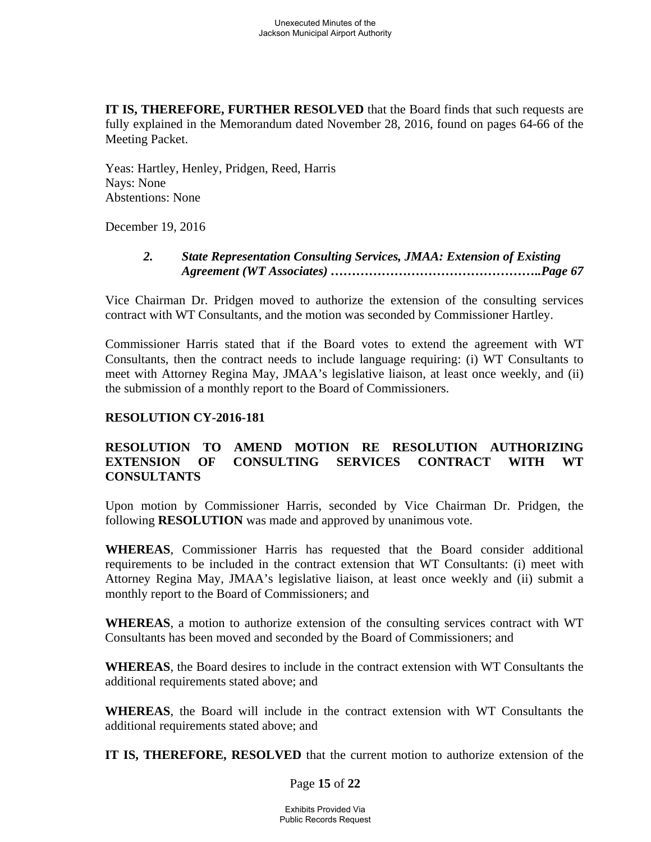**IT IS, THEREFORE, FURTHER RESOLVED** that the Board finds that such requests are fully explained in the Memorandum dated November 28, 2016, found on pages 64-66 of the Meeting Packet.

Yeas: Hartley, Henley, Pridgen, Reed, Harris Nays: None Abstentions: None

December 19, 2016

## *2. State Representation Consulting Services, JMAA: Extension of Existing Agreement (WT Associates) …………………………………………..Page 67*

Vice Chairman Dr. Pridgen moved to authorize the extension of the consulting services contract with WT Consultants, and the motion was seconded by Commissioner Hartley.

Commissioner Harris stated that if the Board votes to extend the agreement with WT Consultants, then the contract needs to include language requiring: (i) WT Consultants to meet with Attorney Regina May, JMAA's legislative liaison, at least once weekly, and (ii) the submission of a monthly report to the Board of Commissioners.

## **RESOLUTION CY-2016-181**

# **RESOLUTION TO AMEND MOTION RE RESOLUTION AUTHORIZING EXTENSION OF CONSULTING SERVICES CONTRACT WITH WT CONSULTANTS**

Upon motion by Commissioner Harris, seconded by Vice Chairman Dr. Pridgen, the following **RESOLUTION** was made and approved by unanimous vote.

**WHEREAS**, Commissioner Harris has requested that the Board consider additional requirements to be included in the contract extension that WT Consultants: (i) meet with Attorney Regina May, JMAA's legislative liaison, at least once weekly and (ii) submit a monthly report to the Board of Commissioners; and

**WHEREAS**, a motion to authorize extension of the consulting services contract with WT Consultants has been moved and seconded by the Board of Commissioners; and

**WHEREAS**, the Board desires to include in the contract extension with WT Consultants the additional requirements stated above; and

**WHEREAS**, the Board will include in the contract extension with WT Consultants the additional requirements stated above; and

**IT IS, THEREFORE, RESOLVED** that the current motion to authorize extension of the

Page **15** of **22**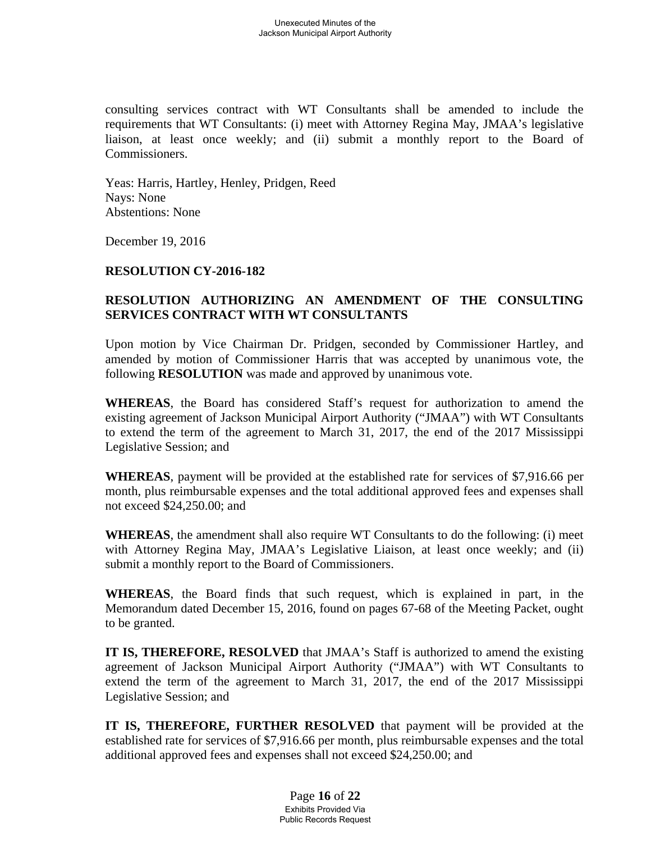consulting services contract with WT Consultants shall be amended to include the requirements that WT Consultants: (i) meet with Attorney Regina May, JMAA's legislative liaison, at least once weekly; and (ii) submit a monthly report to the Board of Commissioners.

Yeas: Harris, Hartley, Henley, Pridgen, Reed Nays: None Abstentions: None

December 19, 2016

### **RESOLUTION CY-2016-182**

## **RESOLUTION AUTHORIZING AN AMENDMENT OF THE CONSULTING SERVICES CONTRACT WITH WT CONSULTANTS**

Upon motion by Vice Chairman Dr. Pridgen, seconded by Commissioner Hartley, and amended by motion of Commissioner Harris that was accepted by unanimous vote, the following **RESOLUTION** was made and approved by unanimous vote.

**WHEREAS**, the Board has considered Staff's request for authorization to amend the existing agreement of Jackson Municipal Airport Authority ("JMAA") with WT Consultants to extend the term of the agreement to March 31, 2017, the end of the 2017 Mississippi Legislative Session; and

**WHEREAS**, payment will be provided at the established rate for services of \$7,916.66 per month, plus reimbursable expenses and the total additional approved fees and expenses shall not exceed \$24,250.00; and

**WHEREAS**, the amendment shall also require WT Consultants to do the following: (i) meet with Attorney Regina May, JMAA's Legislative Liaison, at least once weekly; and (ii) submit a monthly report to the Board of Commissioners.

**WHEREAS**, the Board finds that such request, which is explained in part, in the Memorandum dated December 15, 2016, found on pages 67-68 of the Meeting Packet, ought to be granted.

**IT IS, THEREFORE, RESOLVED** that JMAA's Staff is authorized to amend the existing agreement of Jackson Municipal Airport Authority ("JMAA") with WT Consultants to extend the term of the agreement to March 31, 2017, the end of the 2017 Mississippi Legislative Session; and

**IT IS, THEREFORE, FURTHER RESOLVED** that payment will be provided at the established rate for services of \$7,916.66 per month, plus reimbursable expenses and the total additional approved fees and expenses shall not exceed \$24,250.00; and

> Page **16** of **22** Exhibits Provided Via Public Records Request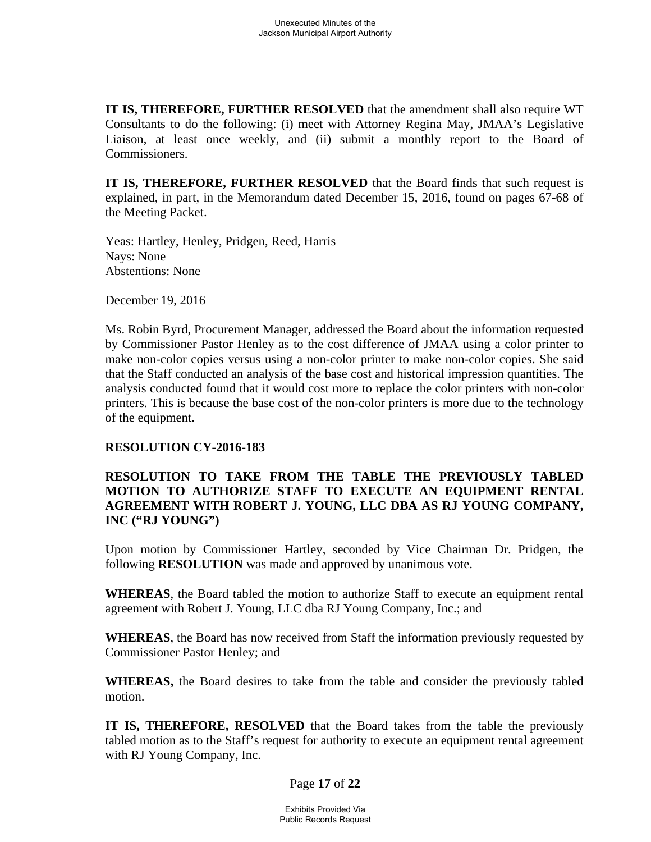**IT IS, THEREFORE, FURTHER RESOLVED** that the amendment shall also require WT Consultants to do the following: (i) meet with Attorney Regina May, JMAA's Legislative Liaison, at least once weekly, and (ii) submit a monthly report to the Board of Commissioners.

**IT IS, THEREFORE, FURTHER RESOLVED** that the Board finds that such request is explained, in part, in the Memorandum dated December 15, 2016, found on pages 67-68 of the Meeting Packet.

Yeas: Hartley, Henley, Pridgen, Reed, Harris Nays: None Abstentions: None

December 19, 2016

Ms. Robin Byrd, Procurement Manager, addressed the Board about the information requested by Commissioner Pastor Henley as to the cost difference of JMAA using a color printer to make non-color copies versus using a non-color printer to make non-color copies. She said that the Staff conducted an analysis of the base cost and historical impression quantities. The analysis conducted found that it would cost more to replace the color printers with non-color printers. This is because the base cost of the non-color printers is more due to the technology of the equipment.

### **RESOLUTION CY-2016-183**

## **RESOLUTION TO TAKE FROM THE TABLE THE PREVIOUSLY TABLED MOTION TO AUTHORIZE STAFF TO EXECUTE AN EQUIPMENT RENTAL AGREEMENT WITH ROBERT J. YOUNG, LLC DBA AS RJ YOUNG COMPANY, INC ("RJ YOUNG")**

Upon motion by Commissioner Hartley, seconded by Vice Chairman Dr. Pridgen, the following **RESOLUTION** was made and approved by unanimous vote.

**WHEREAS**, the Board tabled the motion to authorize Staff to execute an equipment rental agreement with Robert J. Young, LLC dba RJ Young Company, Inc.; and

**WHEREAS**, the Board has now received from Staff the information previously requested by Commissioner Pastor Henley; and

**WHEREAS,** the Board desires to take from the table and consider the previously tabled motion.

**IT IS, THEREFORE, RESOLVED** that the Board takes from the table the previously tabled motion as to the Staff's request for authority to execute an equipment rental agreement with RJ Young Company, Inc.

Page **17** of **22**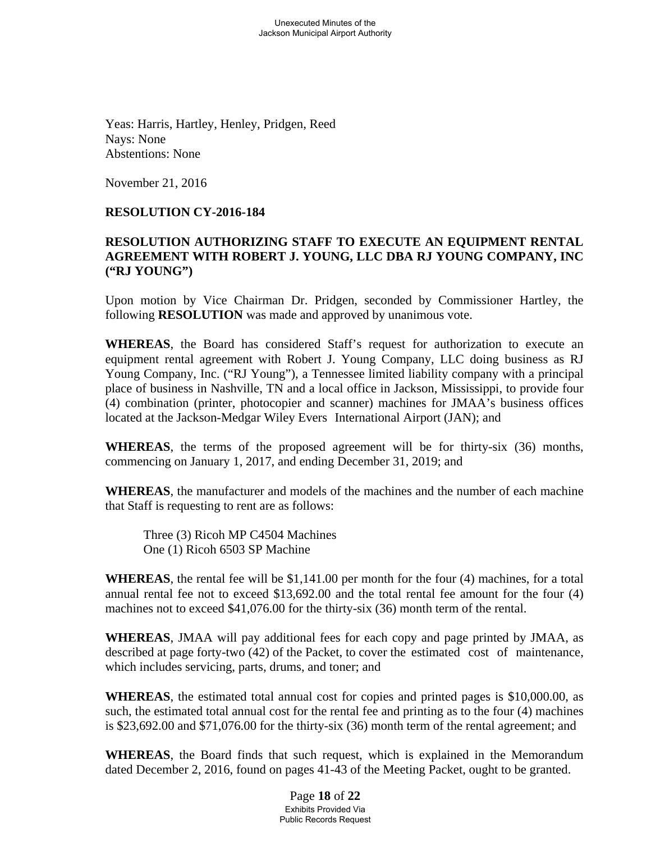Yeas: Harris, Hartley, Henley, Pridgen, Reed Nays: None Abstentions: None

November 21, 2016

## **RESOLUTION CY-2016-184**

## **RESOLUTION AUTHORIZING STAFF TO EXECUTE AN EQUIPMENT RENTAL AGREEMENT WITH ROBERT J. YOUNG, LLC DBA RJ YOUNG COMPANY, INC ("RJ YOUNG")**

Upon motion by Vice Chairman Dr. Pridgen, seconded by Commissioner Hartley, the following **RESOLUTION** was made and approved by unanimous vote.

**WHEREAS**, the Board has considered Staff's request for authorization to execute an equipment rental agreement with Robert J. Young Company, LLC doing business as RJ Young Company, Inc. ("RJ Young"), a Tennessee limited liability company with a principal place of business in Nashville, TN and a local office in Jackson, Mississippi, to provide four (4) combination (printer, photocopier and scanner) machines for JMAA's business offices located at the Jackson-Medgar Wiley Evers International Airport (JAN); and

**WHEREAS**, the terms of the proposed agreement will be for thirty-six (36) months, commencing on January 1, 2017, and ending December 31, 2019; and

**WHEREAS**, the manufacturer and models of the machines and the number of each machine that Staff is requesting to rent are as follows:

 Three (3) Ricoh MP C4504 Machines One (1) Ricoh 6503 SP Machine

**WHEREAS**, the rental fee will be \$1,141.00 per month for the four (4) machines, for a total annual rental fee not to exceed \$13,692.00 and the total rental fee amount for the four (4) machines not to exceed \$41,076.00 for the thirty-six (36) month term of the rental.

**WHEREAS**, JMAA will pay additional fees for each copy and page printed by JMAA, as described at page forty-two (42) of the Packet, to cover the estimated cost of maintenance, which includes servicing, parts, drums, and toner; and

**WHEREAS**, the estimated total annual cost for copies and printed pages is \$10,000.00, as such, the estimated total annual cost for the rental fee and printing as to the four (4) machines is \$23,692.00 and \$71,076.00 for the thirty-six (36) month term of the rental agreement; and

**WHEREAS**, the Board finds that such request, which is explained in the Memorandum dated December 2, 2016, found on pages 41-43 of the Meeting Packet, ought to be granted.

> Page **18** of **22** Exhibits Provided Via Public Records Request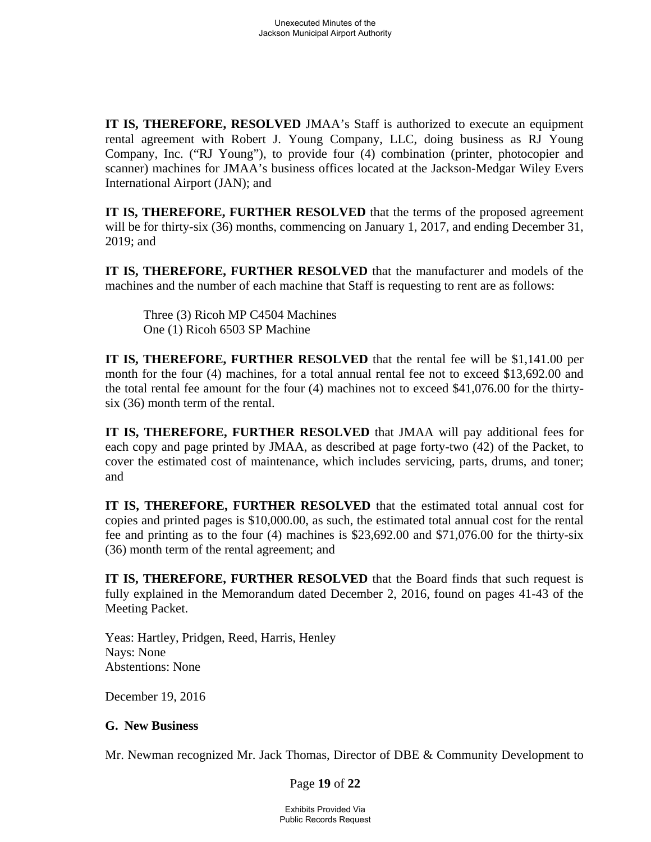**IT IS, THEREFORE, RESOLVED** JMAA's Staff is authorized to execute an equipment rental agreement with Robert J. Young Company, LLC, doing business as RJ Young Company, Inc. ("RJ Young"), to provide four (4) combination (printer, photocopier and scanner) machines for JMAA's business offices located at the Jackson-Medgar Wiley Evers International Airport (JAN); and

**IT IS, THEREFORE, FURTHER RESOLVED** that the terms of the proposed agreement will be for thirty-six (36) months, commencing on January 1, 2017, and ending December 31, 2019; and

**IT IS, THEREFORE, FURTHER RESOLVED** that the manufacturer and models of the machines and the number of each machine that Staff is requesting to rent are as follows:

 Three (3) Ricoh MP C4504 Machines One (1) Ricoh 6503 SP Machine

**IT IS, THEREFORE, FURTHER RESOLVED** that the rental fee will be \$1,141.00 per month for the four (4) machines, for a total annual rental fee not to exceed \$13,692.00 and the total rental fee amount for the four (4) machines not to exceed \$41,076.00 for the thirtysix (36) month term of the rental.

**IT IS, THEREFORE, FURTHER RESOLVED** that JMAA will pay additional fees for each copy and page printed by JMAA, as described at page forty-two (42) of the Packet, to cover the estimated cost of maintenance, which includes servicing, parts, drums, and toner; and

**IT IS, THEREFORE, FURTHER RESOLVED** that the estimated total annual cost for copies and printed pages is \$10,000.00, as such, the estimated total annual cost for the rental fee and printing as to the four (4) machines is \$23,692.00 and \$71,076.00 for the thirty-six (36) month term of the rental agreement; and

**IT IS, THEREFORE, FURTHER RESOLVED** that the Board finds that such request is fully explained in the Memorandum dated December 2, 2016, found on pages 41-43 of the Meeting Packet.

Yeas: Hartley, Pridgen, Reed, Harris, Henley Nays: None Abstentions: None

December 19, 2016

### **G. New Business**

Mr. Newman recognized Mr. Jack Thomas, Director of DBE & Community Development to

Page **19** of **22**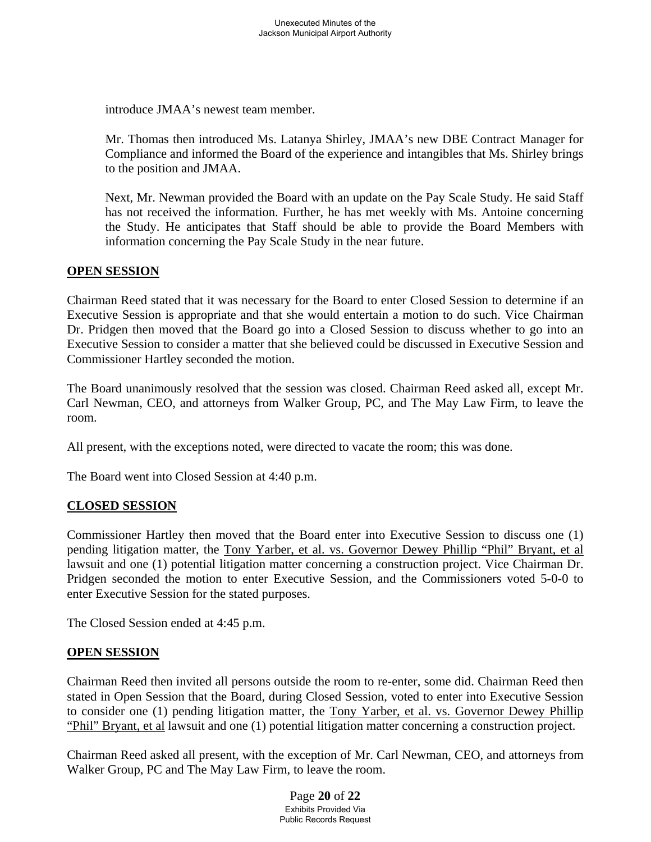introduce JMAA's newest team member.

Mr. Thomas then introduced Ms. Latanya Shirley, JMAA's new DBE Contract Manager for Compliance and informed the Board of the experience and intangibles that Ms. Shirley brings to the position and JMAA.

Next, Mr. Newman provided the Board with an update on the Pay Scale Study. He said Staff has not received the information. Further, he has met weekly with Ms. Antoine concerning the Study. He anticipates that Staff should be able to provide the Board Members with information concerning the Pay Scale Study in the near future.

### **OPEN SESSION**

Chairman Reed stated that it was necessary for the Board to enter Closed Session to determine if an Executive Session is appropriate and that she would entertain a motion to do such. Vice Chairman Dr. Pridgen then moved that the Board go into a Closed Session to discuss whether to go into an Executive Session to consider a matter that she believed could be discussed in Executive Session and Commissioner Hartley seconded the motion.

The Board unanimously resolved that the session was closed. Chairman Reed asked all, except Mr. Carl Newman, CEO, and attorneys from Walker Group, PC, and The May Law Firm, to leave the room.

All present, with the exceptions noted, were directed to vacate the room; this was done.

The Board went into Closed Session at 4:40 p.m.

### **CLOSED SESSION**

Commissioner Hartley then moved that the Board enter into Executive Session to discuss one (1) pending litigation matter, the Tony Yarber, et al. vs. Governor Dewey Phillip "Phil" Bryant, et al lawsuit and one (1) potential litigation matter concerning a construction project. Vice Chairman Dr. Pridgen seconded the motion to enter Executive Session, and the Commissioners voted 5-0-0 to enter Executive Session for the stated purposes.

The Closed Session ended at 4:45 p.m.

### **OPEN SESSION**

Chairman Reed then invited all persons outside the room to re-enter, some did. Chairman Reed then stated in Open Session that the Board, during Closed Session, voted to enter into Executive Session to consider one (1) pending litigation matter, the Tony Yarber, et al. vs. Governor Dewey Phillip "Phil" Bryant, et al lawsuit and one (1) potential litigation matter concerning a construction project.

Chairman Reed asked all present, with the exception of Mr. Carl Newman, CEO, and attorneys from Walker Group, PC and The May Law Firm, to leave the room.

> Page **20** of **22** Exhibits Provided Via Public Records Request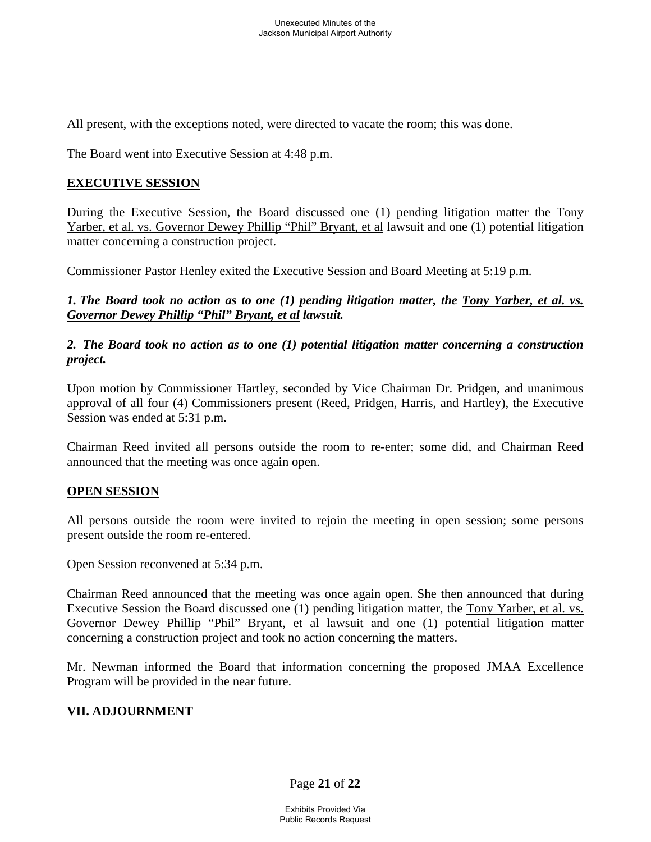All present, with the exceptions noted, were directed to vacate the room; this was done.

The Board went into Executive Session at 4:48 p.m.

### **EXECUTIVE SESSION**

During the Executive Session, the Board discussed one (1) pending litigation matter the Tony Yarber, et al. vs. Governor Dewey Phillip "Phil" Bryant, et al lawsuit and one (1) potential litigation matter concerning a construction project.

Commissioner Pastor Henley exited the Executive Session and Board Meeting at 5:19 p.m.

*1. The Board took no action as to one (1) pending litigation matter, the Tony Yarber, et al. vs. Governor Dewey Phillip "Phil" Bryant, et al lawsuit.* 

*2. The Board took no action as to one (1) potential litigation matter concerning a construction project.* 

Upon motion by Commissioner Hartley, seconded by Vice Chairman Dr. Pridgen, and unanimous approval of all four (4) Commissioners present (Reed, Pridgen, Harris, and Hartley), the Executive Session was ended at 5:31 p.m.

Chairman Reed invited all persons outside the room to re-enter; some did, and Chairman Reed announced that the meeting was once again open.

### **OPEN SESSION**

All persons outside the room were invited to rejoin the meeting in open session; some persons present outside the room re-entered.

Open Session reconvened at 5:34 p.m.

Chairman Reed announced that the meeting was once again open. She then announced that during Executive Session the Board discussed one (1) pending litigation matter, the Tony Yarber, et al. vs. Governor Dewey Phillip "Phil" Bryant, et al lawsuit and one (1) potential litigation matter concerning a construction project and took no action concerning the matters.

Mr. Newman informed the Board that information concerning the proposed JMAA Excellence Program will be provided in the near future.

### **VII. ADJOURNMENT**

Page **21** of **22**